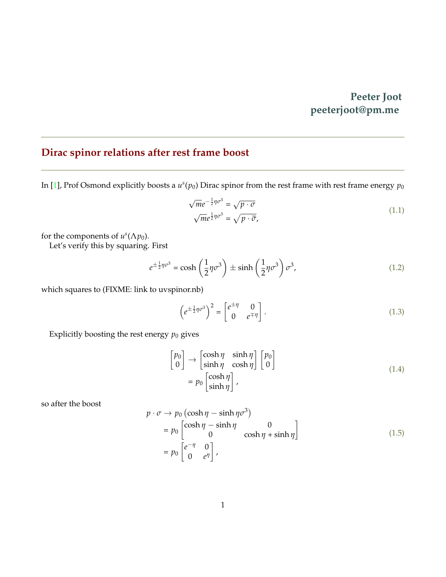## **Peeter Joot peeterjoot@pm.me**

## <span id="page-0-0"></span>**Dirac spinor relations after rest frame boost**

In [\[1\]](#page-2-0), Prof Osmond explicitly boosts a  $u^s(p_0)$  Dirac spinor from the rest frame with rest frame energy  $p_0$ 

$$
\sqrt{m}e^{-\frac{1}{2}\eta\sigma^3} = \sqrt{p \cdot \sigma}
$$
\n
$$
\sqrt{m}e^{\frac{1}{2}\eta\sigma^3} = \sqrt{p \cdot \bar{\sigma}},
$$
\n(1.1)

for the components of  $u^s(\Lambda p_0)$ .

Let's verify this by squaring. First

$$
e^{\pm \frac{1}{2}\eta \sigma^3} = \cosh\left(\frac{1}{2}\eta \sigma^3\right) \pm \sinh\left(\frac{1}{2}\eta \sigma^3\right) \sigma^3,
$$
\n(1.2)

which squares to (FIXME: link to uvspinor.nb)

$$
\left(e^{\pm\frac{1}{2}\eta\sigma^3}\right)^2 = \begin{bmatrix} e^{\pm\eta} & 0\\ 0 & e^{\mp\eta} \end{bmatrix}.
$$
\n(1.3)

Explicitly boosting the rest energy  $p_0$  gives

$$
\begin{bmatrix} p_0 \\ 0 \end{bmatrix} \rightarrow \begin{bmatrix} \cosh \eta & \sinh \eta \\ \sinh \eta & \cosh \eta \end{bmatrix} \begin{bmatrix} p_0 \\ 0 \end{bmatrix}
$$

$$
= p_0 \begin{bmatrix} \cosh \eta \\ \sinh \eta \end{bmatrix},
$$
(1.4)

so after the boost

$$
p \cdot \sigma \to p_0 \left( \cosh \eta - \sinh \eta \sigma^3 \right)
$$
  
=  $p_0 \begin{bmatrix} \cosh \eta - \sinh \eta & 0 \\ 0 & \cosh \eta + \sinh \eta \end{bmatrix}$   
=  $p_0 \begin{bmatrix} e^{-\eta} & 0 \\ 0 & e^{\eta} \end{bmatrix}$ , (1.5)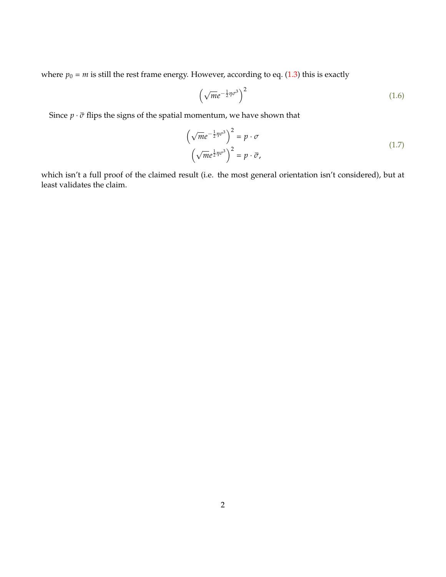where  $p_0 = m$  is still the rest frame energy. However, according to eq. [\(1.3\)](#page-0-0) this is exactly

$$
\left(\sqrt{m}e^{-\frac{1}{2}\eta\sigma^3}\right)^2\tag{1.6}
$$

Since  $p \cdot \bar{\sigma}$  flips the signs of the spatial momentum, we have shown that

$$
\left(\sqrt{m}e^{-\frac{1}{2}\eta\sigma^3}\right)^2 = p \cdot \sigma
$$
\n
$$
\left(\sqrt{m}e^{\frac{1}{2}\eta\sigma^3}\right)^2 = p \cdot \bar{\sigma},
$$
\n(1.7)

which isn't a full proof of the claimed result (i.e. the most general orientation isn't considered), but at least validates the claim.